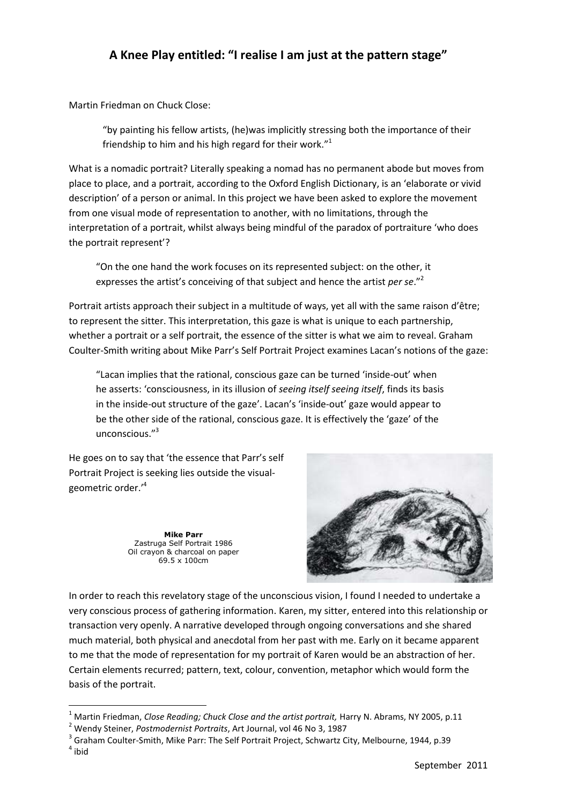## **A Knee Play entitled: "I realise I am just at the pattern stage"**

Martin Friedman on Chuck Close:

"by painting his fellow artists, (he)was implicitly stressing both the importance of their friendship to him and his high regard for their work."<sup>1</sup>

What is a nomadic portrait? Literally speaking a nomad has no permanent abode but moves from place to place, and a portrait, according to the Oxford English Dictionary, is an 'elaborate or vivid description' of a person or animal. In this project we have been asked to explore the movement from one visual mode of representation to another, with no limitations, through the interpretation of a portrait, whilst always being mindful of the paradox of portraiture 'who does the portrait represent'?

"On the one hand the work focuses on its represented subject: on the other, it expresses the artist's conceiving of that subject and hence the artist *per se*."<sup>2</sup>

Portrait artists approach their subject in a multitude of ways, yet all with the same raison d'être; to represent the sitter. This interpretation, this gaze is what is unique to each partnership, whether a portrait or a self portrait, the essence of the sitter is what we aim to reveal. Graham Coulter-Smith writing about Mike Parr's Self Portrait Project examines Lacan's notions of the gaze:

"Lacan implies that the rational, conscious gaze can be turned 'inside-out' when he asserts: 'consciousness, in its illusion of *seeing itself seeing itself*, finds its basis in the inside-out structure of the gaze'. Lacan's 'inside-out' gaze would appear to be the other side of the rational, conscious gaze. It is effectively the 'gaze' of the unconscious."<sup>3</sup>

He goes on to say that 'the essence that Parr's self Portrait Project is seeking lies outside the visualgeometric order.'<sup>4</sup>

> **Mike Parr** Zastruga Self Portrait 1986 Oil crayon & charcoal on paper 69.5 x 100cm



In order to reach this revelatory stage of the unconscious vision, I found I needed to undertake a very conscious process of gathering information. Karen, my sitter, entered into this relationship or transaction very openly. A narrative developed through ongoing conversations and she shared much material, both physical and anecdotal from her past with me. Early on it became apparent to me that the mode of representation for my portrait of Karen would be an abstraction of her. Certain elements recurred; pattern, text, colour, convention, metaphor which would form the basis of the portrait.

**.** 

<sup>1</sup> Martin Friedman, *Close Reading; Chuck Close and the artist portrait,* Harry N. Abrams, NY 2005, p.11

<sup>2</sup> Wendy Steiner, *Postmodernist Portraits*, Art Journal, vol 46 No 3, 1987

<sup>&</sup>lt;sup>3</sup> Graham Coulter-Smith, Mike Parr: The Self Portrait Project, Schwartz City, Melbourne, 1944, p.39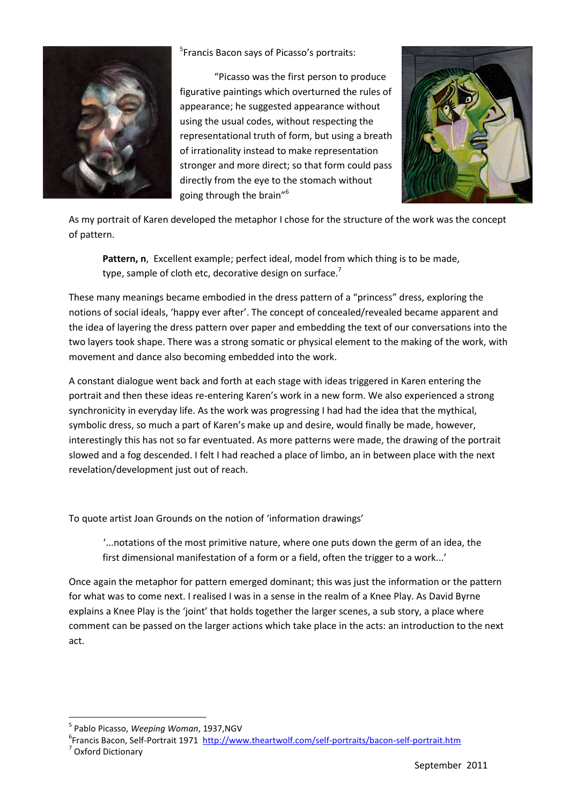

5 Francis Bacon says of Picasso's portraits:

"Picasso was the first person to produce figurative paintings which overturned the rules of appearance; he suggested appearance without using the usual codes, without respecting the representational truth of form, but using a breath of irrationality instead to make representation stronger and more direct; so that form could pass directly from the eye to the stomach without going through the brain"<sup>6</sup>



As my portrait of Karen developed the metaphor I chose for the structure of the work was the concept of pattern.

**Pattern, n**, Excellent example; perfect ideal, model from which thing is to be made, type, sample of cloth etc, decorative design on surface.<sup>7</sup>

These many meanings became embodied in the dress pattern of a "princess" dress, exploring the notions of social ideals, 'happy ever after'. The concept of concealed/revealed became apparent and the idea of layering the dress pattern over paper and embedding the text of our conversations into the two layers took shape. There was a strong somatic or physical element to the making of the work, with movement and dance also becoming embedded into the work.

A constant dialogue went back and forth at each stage with ideas triggered in Karen entering the portrait and then these ideas re-entering Karen's work in a new form. We also experienced a strong synchronicity in everyday life. As the work was progressing I had had the idea that the mythical, symbolic dress, so much a part of Karen's make up and desire, would finally be made, however, interestingly this has not so far eventuated. As more patterns were made, the drawing of the portrait slowed and a fog descended. I felt I had reached a place of limbo, an in between place with the next revelation/development just out of reach.

To quote artist Joan Grounds on the notion of 'information drawings'

'...notations of the most primitive nature, where one puts down the germ of an idea, the first dimensional manifestation of a form or a field, often the trigger to a work...'

Once again the metaphor for pattern emerged dominant; this was just the information or the pattern for what was to come next. I realised I was in a sense in the realm of a Knee Play. As David Byrne explains a Knee Play is the 'joint' that holds together the larger scenes, a sub story, a place where comment can be passed on the larger actions which take place in the acts: an introduction to the next act.

7 Oxford Dictionary

1

<sup>5</sup> Pablo Picasso, *Weeping Woman*, 1937,NGV

<sup>&</sup>lt;sup>6</sup>Francis Bacon, Self-Portrait 1971 <http://www.theartwolf.com/self-portraits/bacon-self-portrait.htm>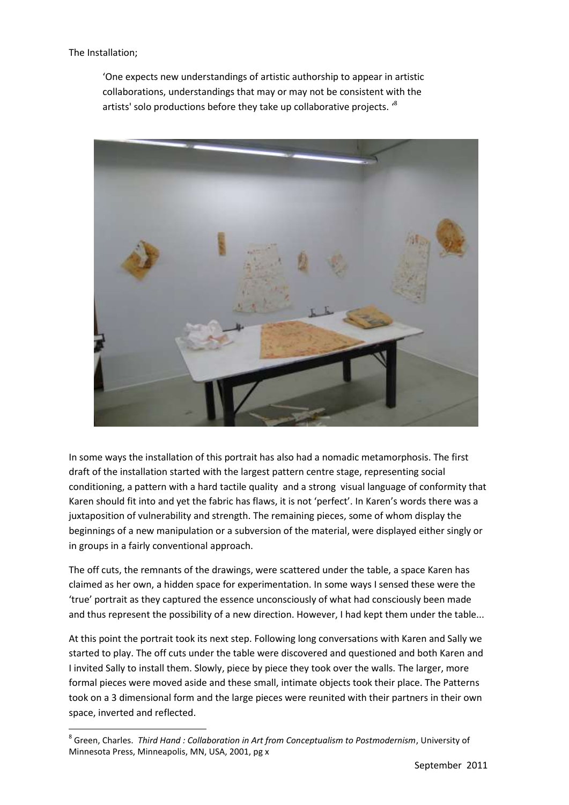The Installation;

**.** 

'One expects new understandings of artistic authorship to appear in artistic collaborations, understandings that may or may not be consistent with the artists' solo productions before they take up collaborative projects. <sup>8</sup>



In some ways the installation of this portrait has also had a nomadic metamorphosis. The first draft of the installation started with the largest pattern centre stage, representing social conditioning, a pattern with a hard tactile quality and a strong visual language of conformity that Karen should fit into and yet the fabric has flaws, it is not 'perfect'. In Karen's words there was a juxtaposition of vulnerability and strength. The remaining pieces, some of whom display the beginnings of a new manipulation or a subversion of the material, were displayed either singly or in groups in a fairly conventional approach.

The off cuts, the remnants of the drawings, were scattered under the table, a space Karen has claimed as her own, a hidden space for experimentation. In some ways I sensed these were the 'true' portrait as they captured the essence unconsciously of what had consciously been made and thus represent the possibility of a new direction. However, I had kept them under the table...

At this point the portrait took its next step. Following long conversations with Karen and Sally we started to play. The off cuts under the table were discovered and questioned and both Karen and I invited Sally to install them. Slowly, piece by piece they took over the walls. The larger, more formal pieces were moved aside and these small, intimate objects took their place. The Patterns took on a 3 dimensional form and the large pieces were reunited with their partners in their own space, inverted and reflected.

<sup>8</sup> Green, Charles. *Third Hand : Collaboration in Art from Conceptualism to Postmodernism*, University of Minnesota Press, Minneapolis, MN, USA, 2001, pg x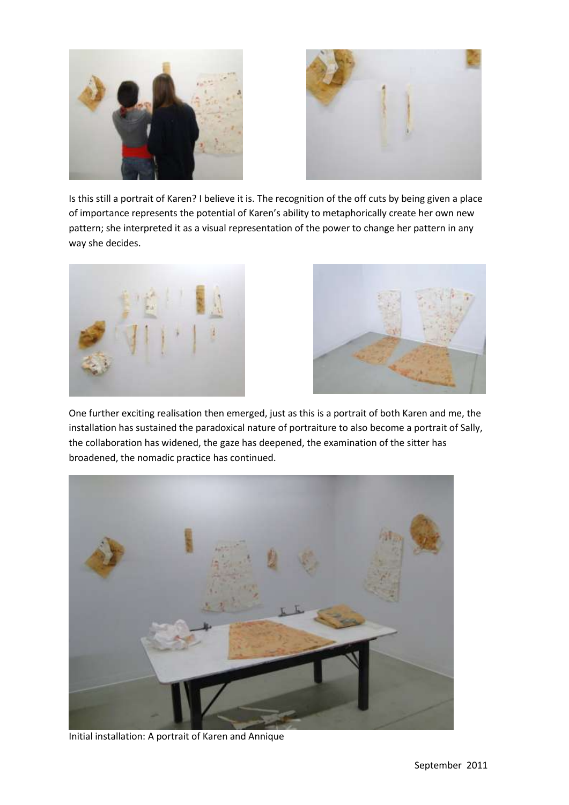



Is this still a portrait of Karen? I believe it is. The recognition of the off cuts by being given a place of importance represents the potential of Karen's ability to metaphorically create her own new pattern; she interpreted it as a visual representation of the power to change her pattern in any way she decides.





One further exciting realisation then emerged, just as this is a portrait of both Karen and me, the installation has sustained the paradoxical nature of portraiture to also become a portrait of Sally, the collaboration has widened, the gaze has deepened, the examination of the sitter has broadened, the nomadic practice has continued.



Initial installation: A portrait of Karen and Annique